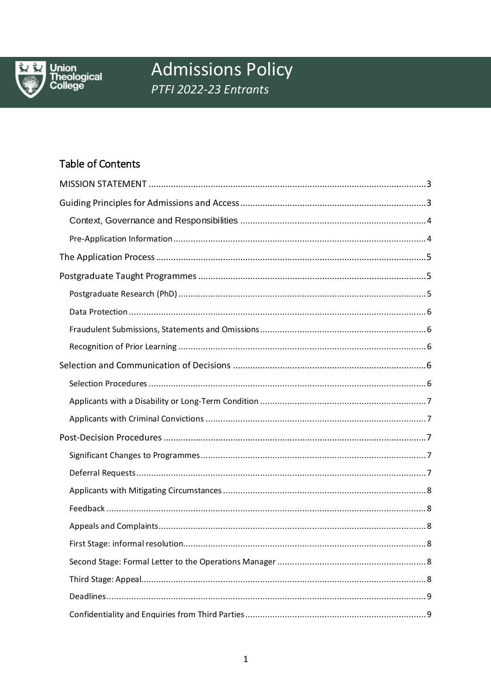

Union<br>Theological<br>College

# **Admissions Policy** PTFI 2022-23 Entrants

# Table of Contents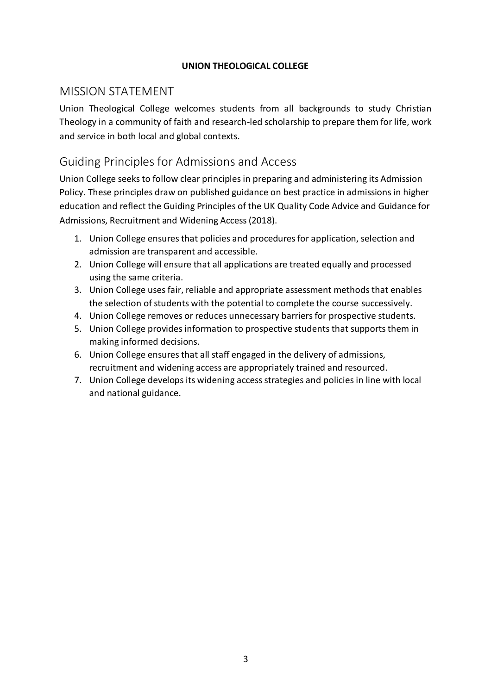#### **UNION THEOLOGICAL COLLEGE**

# <span id="page-2-0"></span>MISSION STATEMENT

Union Theological College welcomes students from all backgrounds to study Christian Theology in a community of faith and research-led scholarship to prepare them for life, work and service in both local and global contexts.

# <span id="page-2-1"></span>Guiding Principles for Admissions and Access

Union College seeks to follow clear principles in preparing and administering its Admission Policy. These principles draw on published guidance on best practice in admissions in higher education and reflect the Guiding Principles of the UK Quality Code Advice and Guidance for Admissions, Recruitment and Widening Access (2018).

- 1. Union College ensures that policies and procedures for application, selection and admission are transparent and accessible.
- 2. Union College will ensure that all applications are treated equally and processed using the same criteria.
- 3. Union College uses fair, reliable and appropriate assessment methods that enables the selection of students with the potential to complete the course successively.
- 4. Union College removes or reduces unnecessary barriers for prospective students.
- 5. Union College provides information to prospective students that supports them in making informed decisions.
- 6. Union College ensures that all staff engaged in the delivery of admissions, recruitment and widening access are appropriately trained and resourced.
- 7. Union College develops its widening access strategies and policies in line with local and national guidance.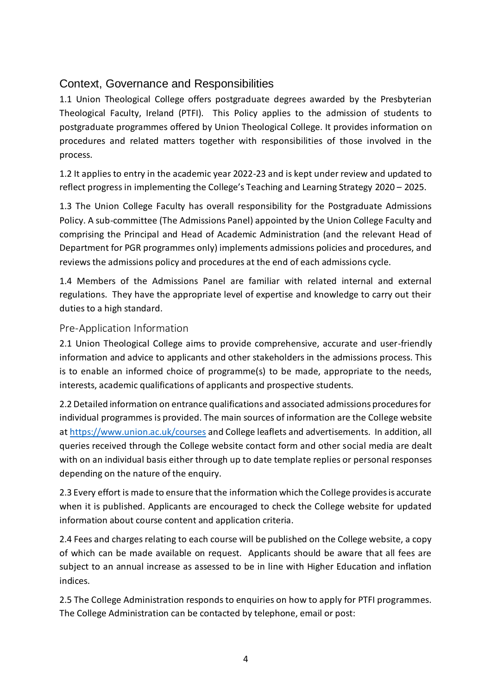# <span id="page-3-0"></span>Context, Governance and Responsibilities

1.1 Union Theological College offers postgraduate degrees awarded by the Presbyterian Theological Faculty, Ireland (PTFI). This Policy applies to the admission of students to postgraduate programmes offered by Union Theological College. It provides information on procedures and related matters together with responsibilities of those involved in the process.

1.2 It applies to entry in the academic year 2022-23 and is kept under review and updated to reflect progress in implementing the College's Teaching and Learning Strategy 2020 – 2025.

1.3 The Union College Faculty has overall responsibility for the Postgraduate Admissions Policy. A sub-committee (The Admissions Panel) appointed by the Union College Faculty and comprising the Principal and Head of Academic Administration (and the relevant Head of Department for PGR programmes only) implements admissions policies and procedures, and reviews the admissions policy and procedures at the end of each admissions cycle.

1.4 Members of the Admissions Panel are familiar with related internal and external regulations. They have the appropriate level of expertise and knowledge to carry out their duties to a high standard.

### <span id="page-3-1"></span>Pre-Application Information

2.1 Union Theological College aims to provide comprehensive, accurate and user-friendly information and advice to applicants and other stakeholders in the admissions process. This is to enable an informed choice of programme(s) to be made, appropriate to the needs, interests, academic qualifications of applicants and prospective students.

2.2 Detailed information on entrance qualifications and associated admissions procedures for individual programmes is provided. The main sources of information are the College website a[t https://www.union.ac.uk/courses](https://www.union.ac.uk/courses) and College leaflets and advertisements. In addition, all queries received through the College website contact form and other social media are dealt with on an individual basis either through up to date template replies or personal responses depending on the nature of the enquiry.

2.3 Every effort is made to ensure that the information which the College provides is accurate when it is published. Applicants are encouraged to check the College website for updated information about course content and application criteria.

2.4 Fees and charges relating to each course will be published on the College website, a copy of which can be made available on request. Applicants should be aware that all fees are subject to an annual increase as assessed to be in line with Higher Education and inflation indices.

2.5 The College Administration responds to enquiries on how to apply for PTFI programmes. The College Administration can be contacted by telephone, email or post: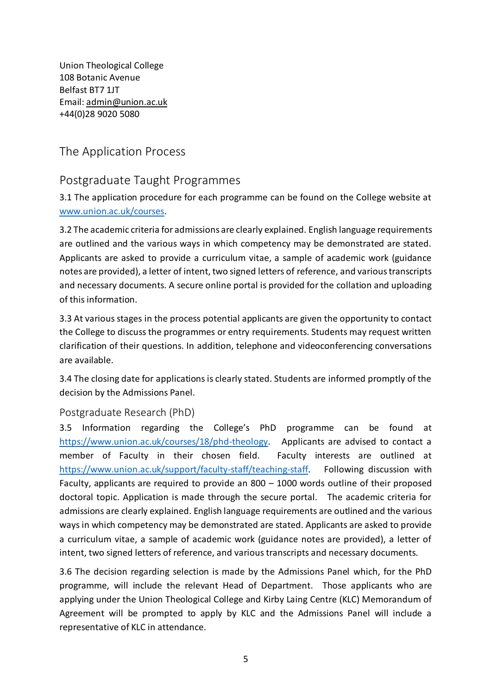Union Theological College 108 Botanic Avenue Belfast BT7 1JT Email[: admin@union.ac.uk](mailto:admin@union.ac.uk) +44(0)28 9020 5080

# <span id="page-4-0"></span>The Application Process

# <span id="page-4-1"></span>Postgraduate Taught Programmes

3.1 The application procedure for each programme can be found on the College website at [www.union.ac.uk/courses.](http://www.union.ac.uk/courses)

3.2 The academic criteria for admissions are clearly explained. English language requirements are outlined and the various ways in which competency may be demonstrated are stated. Applicants are asked to provide a curriculum vitae, a sample of academic work (guidance notes are provided), a letter of intent, two signed letters of reference, and various transcripts and necessary documents. A secure online portal is provided for the collation and uploading of this information.

3.3 At various stages in the process potential applicants are given the opportunity to contact the College to discuss the programmes or entry requirements. Students may request written clarification of their questions. In addition, telephone and videoconferencing conversations are available.

3.4 The closing date for applications is clearly stated. Students are informed promptly of the decision by the Admissions Panel.

#### <span id="page-4-2"></span>Postgraduate Research (PhD)

3.5 Information regarding the College's PhD programme can be found at [https://www.union.ac.uk/courses/18/phd-theology.](https://www.union.ac.uk/courses/18/phd-theology) Applicants are advised to contact a member of Faculty in their chosen field. Faculty interests are outlined at [https://www.union.ac.uk/support/faculty-staff/teaching-staff.](https://www.union.ac.uk/support/faculty-staff/teaching-staff) Following discussion with Faculty, applicants are required to provide an 800 – 1000 words outline of their proposed doctoral topic. Application is made through the secure portal. The academic criteria for admissions are clearly explained. English language requirements are outlined and the various ways in which competency may be demonstrated are stated. Applicants are asked to provide a curriculum vitae, a sample of academic work (guidance notes are provided), a letter of intent, two signed letters of reference, and various transcripts and necessary documents.

3.6 The decision regarding selection is made by the Admissions Panel which, for the PhD programme, will include the relevant Head of Department. Those applicants who are applying under the Union Theological College and Kirby Laing Centre (KLC) Memorandum of Agreement will be prompted to apply by KLC and the Admissions Panel will include a representative of KLC in attendance.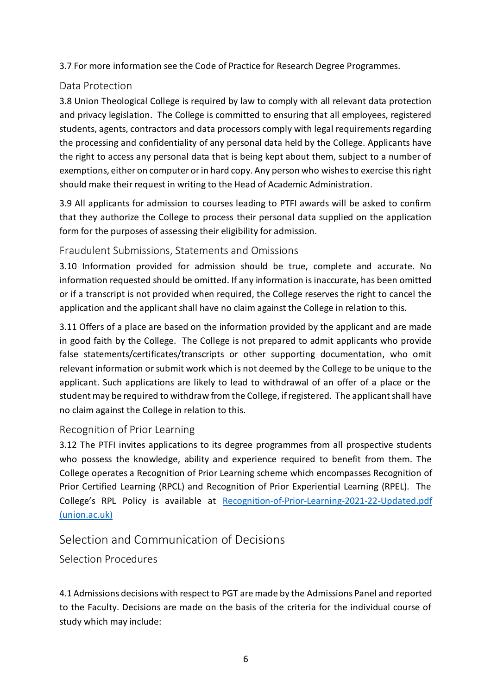3.7 For more information see the Code of Practice for Research Degree Programmes.

#### <span id="page-5-0"></span>Data Protection

3.8 Union Theological College is required by law to comply with all relevant data protection and privacy legislation. The College is committed to ensuring that all employees, registered students, agents, contractors and data processors comply with legal requirements regarding the processing and confidentiality of any personal data held by the College. Applicants have the right to access any personal data that is being kept about them, subject to a number of exemptions, either on computer or in hard copy. Any person who wishes to exercise this right should make their request in writing to the Head of Academic Administration.

3.9 All applicants for admission to courses leading to PTFI awards will be asked to confirm that they authorize the College to process their personal data supplied on the application form for the purposes of assessing their eligibility for admission.

### <span id="page-5-1"></span>Fraudulent Submissions, Statements and Omissions

3.10 Information provided for admission should be true, complete and accurate. No information requested should be omitted. If any information is inaccurate, has been omitted or if a transcript is not provided when required, the College reserves the right to cancel the application and the applicant shall have no claim against the College in relation to this.

3.11 Offers of a place are based on the information provided by the applicant and are made in good faith by the College. The College is not prepared to admit applicants who provide false statements/certificates/transcripts or other supporting documentation, who omit relevant information or submit work which is not deemed by the College to be unique to the applicant. Such applications are likely to lead to withdrawal of an offer of a place or the student may be required to withdraw from the College, if registered. The applicant shall have no claim against the College in relation to this.

### <span id="page-5-2"></span>Recognition of Prior Learning

3.12 The PTFI invites applications to its degree programmes from all prospective students who possess the knowledge, ability and experience required to benefit from them. The College operates a Recognition of Prior Learning scheme which encompasses Recognition of Prior Certified Learning (RPCL) and Recognition of Prior Experiential Learning (RPEL). The College's RPL Policy is available at [Recognition-of-Prior-Learning-2021-22-Updated.pdf](https://www.union.ac.uk/cmsfiles/Policies/Recognition-of-Prior-Learning-2021-22-Updated.pdf)  [\(union.ac.uk\)](https://www.union.ac.uk/cmsfiles/Policies/Recognition-of-Prior-Learning-2021-22-Updated.pdf)

# <span id="page-5-3"></span>Selection and Communication of Decisions

<span id="page-5-4"></span>Selection Procedures

4.1 Admissions decisions with respect to PGT are made by the Admissions Panel and reported to the Faculty. Decisions are made on the basis of the criteria for the individual course of study which may include: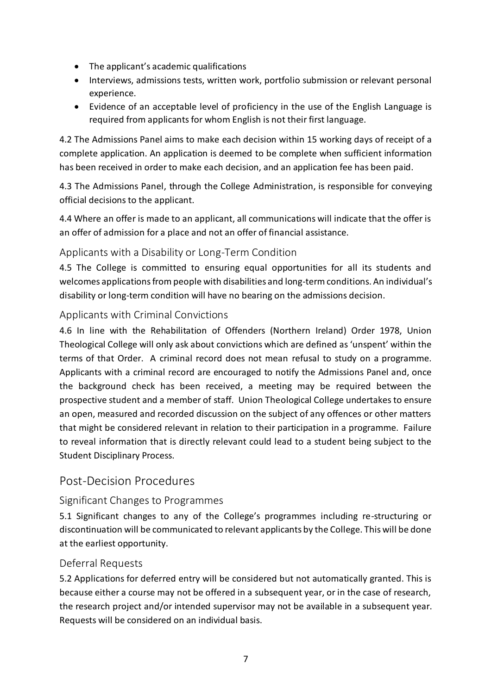- The applicant's academic qualifications
- Interviews, admissions tests, written work, portfolio submission or relevant personal experience.
- Evidence of an acceptable level of proficiency in the use of the English Language is required from applicants for whom English is not their first language.

4.2 The Admissions Panel aims to make each decision within 15 working days of receipt of a complete application. An application is deemed to be complete when sufficient information has been received in order to make each decision, and an application fee has been paid.

4.3 The Admissions Panel, through the College Administration, is responsible for conveying official decisions to the applicant.

4.4 Where an offer is made to an applicant, all communications will indicate that the offer is an offer of admission for a place and not an offer of financial assistance.

### <span id="page-6-0"></span>Applicants with a Disability or Long-Term Condition

4.5 The College is committed to ensuring equal opportunities for all its students and welcomes applications from people with disabilities and long-term conditions. An individual's disability or long-term condition will have no bearing on the admissions decision.

### <span id="page-6-1"></span>Applicants with Criminal Convictions

4.6 In line with the Rehabilitation of Offenders (Northern Ireland) Order 1978, Union Theological College will only ask about convictions which are defined as 'unspent' within the terms of that Order. A criminal record does not mean refusal to study on a programme. Applicants with a criminal record are encouraged to notify the Admissions Panel and, once the background check has been received, a meeting may be required between the prospective student and a member of staff. Union Theological College undertakes to ensure an open, measured and recorded discussion on the subject of any offences or other matters that might be considered relevant in relation to their participation in a programme. Failure to reveal information that is directly relevant could lead to a student being subject to the Student Disciplinary Process.

### <span id="page-6-2"></span>Post-Decision Procedures

### <span id="page-6-3"></span>Significant Changes to Programmes

5.1 Significant changes to any of the College's programmes including re-structuring or discontinuation will be communicated to relevant applicants by the College. This will be done at the earliest opportunity.

#### <span id="page-6-4"></span>Deferral Requests

5.2 Applications for deferred entry will be considered but not automatically granted. This is because either a course may not be offered in a subsequent year, or in the case of research, the research project and/or intended supervisor may not be available in a subsequent year. Requests will be considered on an individual basis.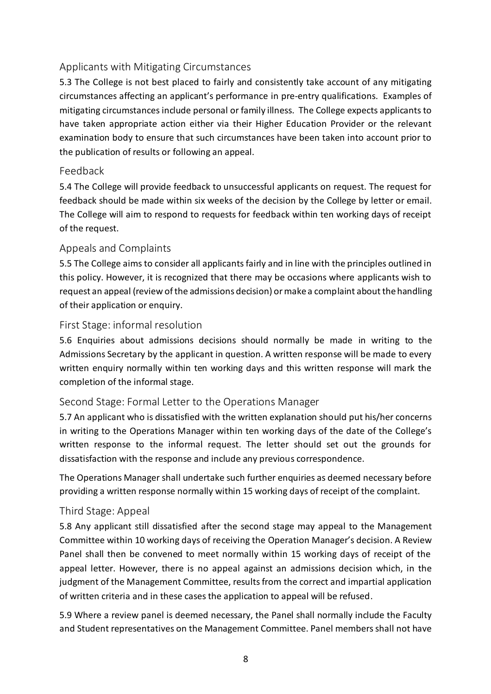### <span id="page-7-0"></span>Applicants with Mitigating Circumstances

5.3 The College is not best placed to fairly and consistently take account of any mitigating circumstances affecting an applicant's performance in pre-entry qualifications. Examples of mitigating circumstances include personal or family illness. The College expects applicants to have taken appropriate action either via their Higher Education Provider or the relevant examination body to ensure that such circumstances have been taken into account prior to the publication of results or following an appeal.

#### <span id="page-7-1"></span>Feedback

5.4 The College will provide feedback to unsuccessful applicants on request. The request for feedback should be made within six weeks of the decision by the College by letter or email. The College will aim to respond to requests for feedback within ten working days of receipt of the request.

#### <span id="page-7-2"></span>Appeals and Complaints

5.5 The College aims to consider all applicants fairly and in line with the principles outlined in this policy. However, it is recognized that there may be occasions where applicants wish to request an appeal (review of the admissions decision) or make a complaint about the handling of their application or enquiry.

#### <span id="page-7-3"></span>First Stage: informal resolution

5.6 Enquiries about admissions decisions should normally be made in writing to the Admissions Secretary by the applicant in question. A written response will be made to every written enquiry normally within ten working days and this written response will mark the completion of the informal stage.

#### <span id="page-7-4"></span>Second Stage: Formal Letter to the Operations Manager

5.7 An applicant who is dissatisfied with the written explanation should put his/her concerns in writing to the Operations Manager within ten working days of the date of the College's written response to the informal request. The letter should set out the grounds for dissatisfaction with the response and include any previous correspondence.

The Operations Manager shall undertake such further enquiries as deemed necessary before providing a written response normally within 15 working days of receipt of the complaint.

#### <span id="page-7-5"></span>Third Stage: Appeal

5.8 Any applicant still dissatisfied after the second stage may appeal to the Management Committee within 10 working days of receiving the Operation Manager's decision. A Review Panel shall then be convened to meet normally within 15 working days of receipt of the appeal letter. However, there is no appeal against an admissions decision which, in the judgment of the Management Committee, results from the correct and impartial application of written criteria and in these cases the application to appeal will be refused.

5.9 Where a review panel is deemed necessary, the Panel shall normally include the Faculty and Student representatives on the Management Committee. Panel members shall not have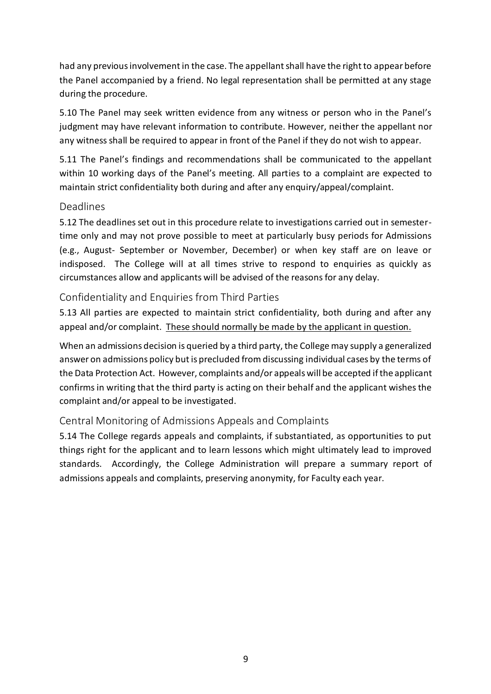had any previous involvement in the case. The appellant shall have the right to appear before the Panel accompanied by a friend. No legal representation shall be permitted at any stage during the procedure.

5.10 The Panel may seek written evidence from any witness or person who in the Panel's judgment may have relevant information to contribute. However, neither the appellant nor any witness shall be required to appear in front of the Panel if they do not wish to appear.

5.11 The Panel's findings and recommendations shall be communicated to the appellant within 10 working days of the Panel's meeting. All parties to a complaint are expected to maintain strict confidentiality both during and after any enquiry/appeal/complaint.

#### <span id="page-8-0"></span>Deadlines

5.12 The deadlines set out in this procedure relate to investigations carried out in semestertime only and may not prove possible to meet at particularly busy periods for Admissions (e.g., August- September or November, December) or when key staff are on leave or indisposed. The College will at all times strive to respond to enquiries as quickly as circumstances allow and applicants will be advised of the reasons for any delay.

### <span id="page-8-1"></span>Confidentiality and Enquiries from Third Parties

5.13 All parties are expected to maintain strict confidentiality, both during and after any appeal and/or complaint. These should normally be made by the applicant in question.

When an admissions decision is queried by a third party, the College may supply a generalized answer on admissions policy but is precluded from discussing individual cases by the terms of the Data Protection Act. However, complaints and/or appeals will be accepted if the applicant confirms in writing that the third party is acting on their behalf and the applicant wishes the complaint and/or appeal to be investigated.

### <span id="page-8-2"></span>Central Monitoring of Admissions Appeals and Complaints

5.14 The College regards appeals and complaints, if substantiated, as opportunities to put things right for the applicant and to learn lessons which might ultimately lead to improved standards. Accordingly, the College Administration will prepare a summary report of admissions appeals and complaints, preserving anonymity, for Faculty each year.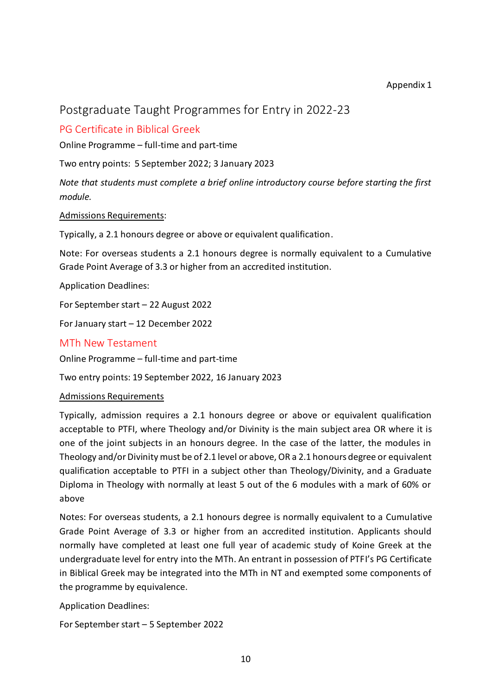#### Appendix 1

## <span id="page-9-0"></span>Postgraduate Taught Programmes for Entry in 2022-23

### <span id="page-9-1"></span>PG Certificate in Biblical Greek

Online Programme – full-time and part-time

Two entry points: 5 September 2022; 3 January 2023

*Note that students must complete a brief online introductory course before starting the first module.*

Admissions Requirements:

Typically, a 2.1 honours degree or above or equivalent qualification.

Note: For overseas students a 2.1 honours degree is normally equivalent to a Cumulative Grade Point Average of 3.3 or higher from an accredited institution.

Application Deadlines:

For September start – 22 August 2022

For January start – 12 December 2022

#### <span id="page-9-2"></span>MTh New Testament

Online Programme – full-time and part-time

Two entry points: 19 September 2022, 16 January 2023

#### Admissions Requirements

Typically, admission requires a 2.1 honours degree or above or equivalent qualification acceptable to PTFI, where Theology and/or Divinity is the main subject area OR where it is one of the joint subjects in an honours degree. In the case of the latter, the modules in Theology and/or Divinity must be of 2.1 level or above, OR a 2.1 honours degree or equivalent qualification acceptable to PTFI in a subject other than Theology/Divinity, and a Graduate Diploma in Theology with normally at least 5 out of the 6 modules with a mark of 60% or above

Notes: For overseas students, a 2.1 honours degree is normally equivalent to a Cumulative Grade Point Average of 3.3 or higher from an accredited institution. Applicants should normally have completed at least one full year of academic study of Koine Greek at the undergraduate level for entry into the MTh. An entrant in possession of PTFI's PG Certificate in Biblical Greek may be integrated into the MTh in NT and exempted some components of the programme by equivalence.

Application Deadlines:

For September start – 5 September 2022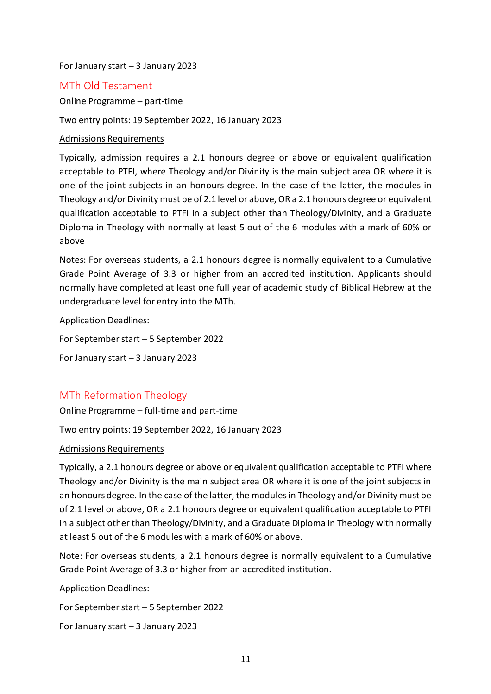#### For January start – 3 January 2023

#### <span id="page-10-0"></span>MTh Old Testament

Online Programme – part-time

Two entry points: 19 September 2022, 16 January 2023

#### Admissions Requirements

Typically, admission requires a 2.1 honours degree or above or equivalent qualification acceptable to PTFI, where Theology and/or Divinity is the main subject area OR where it is one of the joint subjects in an honours degree. In the case of the latter, the modules in Theology and/or Divinity must be of 2.1 level or above, OR a 2.1 honours degree or equivalent qualification acceptable to PTFI in a subject other than Theology/Divinity, and a Graduate Diploma in Theology with normally at least 5 out of the 6 modules with a mark of 60% or above

Notes: For overseas students, a 2.1 honours degree is normally equivalent to a Cumulative Grade Point Average of 3.3 or higher from an accredited institution. Applicants should normally have completed at least one full year of academic study of Biblical Hebrew at the undergraduate level for entry into the MTh.

Application Deadlines:

For September start – 5 September 2022

For January start – 3 January 2023

#### <span id="page-10-1"></span>MTh Reformation Theology

Online Programme – full-time and part-time

Two entry points: 19 September 2022, 16 January 2023

#### Admissions Requirements

Typically, a 2.1 honours degree or above or equivalent qualification acceptable to PTFI where Theology and/or Divinity is the main subject area OR where it is one of the joint subjects in an honours degree. In the case of the latter, the modules in Theology and/or Divinity must be of 2.1 level or above, OR a 2.1 honours degree or equivalent qualification acceptable to PTFI in a subject other than Theology/Divinity, and a Graduate Diploma in Theology with normally at least 5 out of the 6 modules with a mark of 60% or above.

Note: For overseas students, a 2.1 honours degree is normally equivalent to a Cumulative Grade Point Average of 3.3 or higher from an accredited institution.

Application Deadlines:

For September start – 5 September 2022

For January start – 3 January 2023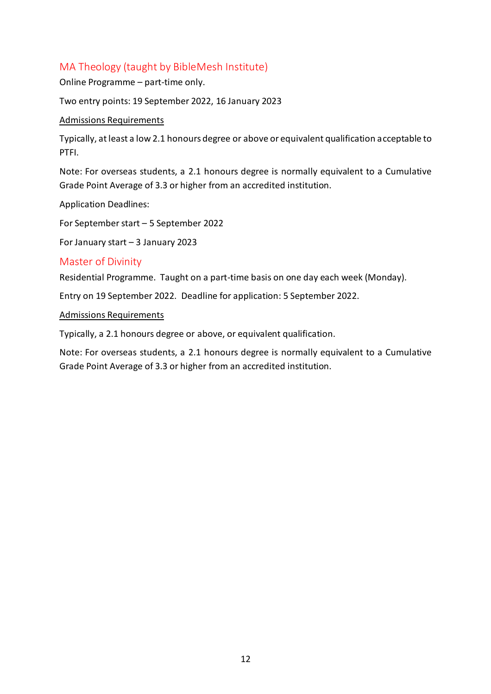### <span id="page-11-0"></span>MA Theology (taught by BibleMesh Institute)

Online Programme – part-time only.

Two entry points: 19 September 2022, 16 January 2023

#### Admissions Requirements

Typically, at least a low 2.1 honours degree or above or equivalent qualification acceptable to PTFI.

Note: For overseas students, a 2.1 honours degree is normally equivalent to a Cumulative Grade Point Average of 3.3 or higher from an accredited institution.

Application Deadlines:

For September start – 5 September 2022

For January start – 3 January 2023

#### <span id="page-11-1"></span>Master of Divinity

Residential Programme. Taught on a part-time basis on one day each week (Monday).

Entry on 19 September 2022. Deadline for application: 5 September 2022.

Admissions Requirements

Typically, a 2.1 honours degree or above, or equivalent qualification.

Note: For overseas students, a 2.1 honours degree is normally equivalent to a Cumulative Grade Point Average of 3.3 or higher from an accredited institution.